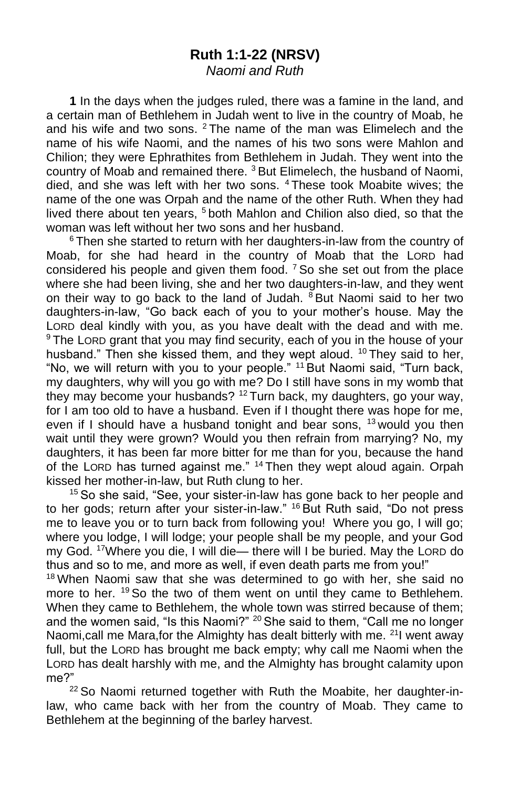#### **Ruth 1:1-22 (NRSV)** *Naomi and Ruth*

**1** In the days when the judges ruled, there was a famine in the land, and a certain man of Bethlehem in Judah went to live in the country of Moab, he and his wife and two sons. <sup>2</sup> The name of the man was Elimelech and the name of his wife Naomi, and the names of his two sons were Mahlon and Chilion; they were Ephrathites from Bethlehem in Judah. They went into the country of Moab and remained there, <sup>3</sup> But Elimelech, the husband of Naomi, died, and she was left with her two sons. <sup>4</sup> These took Moabite wives; the name of the one was Orpah and the name of the other Ruth. When they had lived there about ten years, <sup>5</sup> both Mahlon and Chilion also died, so that the woman was left without her two sons and her husband.

 $6$  Then she started to return with her daughters-in-law from the country of Moab, for she had heard in the country of Moab that the LORD had considered his people and given them food.  $7$  So she set out from the place where she had been living, she and her two daughters-in-law, and they went on their way to go back to the land of Judah.  $8$  But Naomi said to her two daughters-in-law, "Go back each of you to your mother's house. May the LORD deal kindly with you, as you have dealt with the dead and with me. <sup>9</sup> The LORD grant that you may find security, each of you in the house of your husband." Then she kissed them, and they wept aloud. <sup>10</sup> They said to her, "No, we will return with you to your people." <sup>11</sup> But Naomi said, "Turn back, my daughters, why will you go with me? Do I still have sons in my womb that they may become your husbands? <sup>12</sup> Turn back, my daughters, go your way, for I am too old to have a husband. Even if I thought there was hope for me, even if I should have a husband tonight and bear sons,  $13$  would you then wait until they were grown? Would you then refrain from marrying? No, my daughters, it has been far more bitter for me than for you, because the hand of the LORD has turned against me." <sup>14</sup> Then they wept aloud again. Orpah kissed her mother-in-law, but Ruth clung to her.

<sup>15</sup> So she said, "See, your sister-in-law has gone back to her people and to her gods; return after your sister-in-law." <sup>16</sup> But Ruth said, "Do not press me to leave you or to turn back from following you! Where you go, I will go; where you lodge, I will lodge; your people shall be my people, and your God my God. <sup>17</sup>Where you die, I will die— there will I be buried. May the LORD do thus and so to me, and more as well, if even death parts me from you!"

<sup>18</sup> When Naomi saw that she was determined to go with her, she said no more to her. <sup>19</sup> So the two of them went on until they came to Bethlehem. When they came to Bethlehem, the whole town was stirred because of them; and the women said, "Is this Naomi?" <sup>20</sup> She said to them, "Call me no longer Naomi, call me Mara, for the Almighty has dealt bitterly with me. <sup>21</sup>I went away full, but the LORD has brought me back empty; why call me Naomi when the LORD has dealt harshly with me, and the Almighty has brought calamity upon me?"

 $22$  So Naomi returned together with Ruth the Moabite, her daughter-inlaw, who came back with her from the country of Moab. They came to Bethlehem at the beginning of the barley harvest.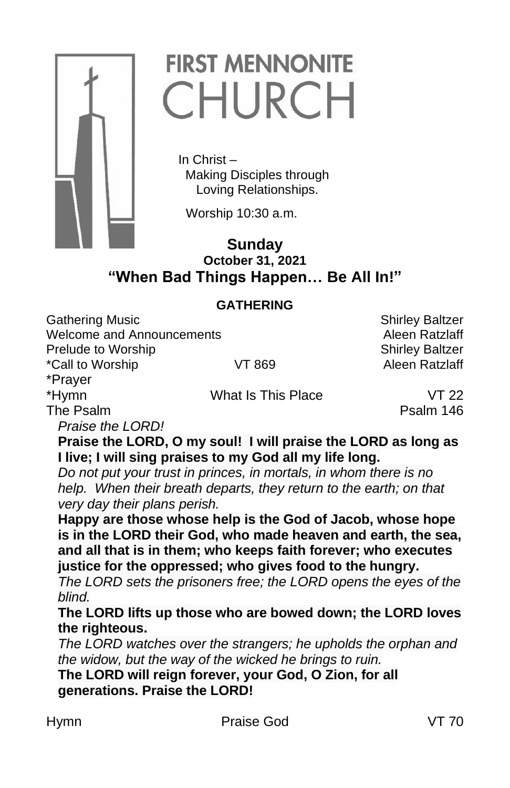

# **FIRST MENNONITE** CHURCH

 In Christ – Making Disciples through Loving Relationships.

Worship 10:30 a.m.

# **Sunday October 31, 2021 "When Bad Things Happen… Be All In!"**

## **GATHERING**

Gathering Music **Shirley Baltzer** Shirley Baltzer Welcome and Announcements **Alexander Contract Alexander Alexander Alexander Alexander Alexander Alexander Alexander** Prelude to Worship Shirley Baltzer

\*Call to Worship **VT 869** Aleen Ratzlaff

\*Prayer

\*Hymn What Is This Place VT 22

The Psalm **Psalm 2019 Psalm 146** 

*Praise the LORD!* 

**Praise the LORD, O my soul! I will praise the LORD as long as I live; I will sing praises to my God all my life long.**

*Do not put your trust in princes, in mortals, in whom there is no help. When their breath departs, they return to the earth; on that very day their plans perish.*

**Happy are those whose help is the God of Jacob, whose hope is in the LORD their God, who made heaven and earth, the sea, and all that is in them; who keeps faith forever; who executes justice for the oppressed; who gives food to the hungry.** 

*The LORD sets the prisoners free; the LORD opens the eyes of the blind.* 

**The LORD lifts up those who are bowed down; the LORD loves the righteous.**

*The LORD watches over the strangers; he upholds the orphan and the widow, but the way of the wicked he brings to ruin.* 

**The LORD will reign forever, your God, O Zion, for all generations. Praise the LORD!**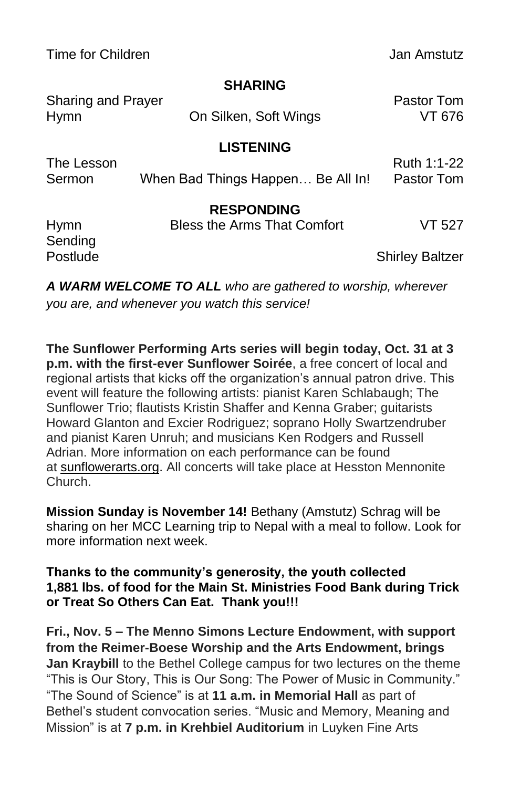Time for Children **Jan Amstutz** 

### **SHARING**

| <b>Sharing and Prayer</b>          |                                    | Pastor Tom                |
|------------------------------------|------------------------------------|---------------------------|
| <b>Hymn</b>                        | On Silken, Soft Wings              | VT 676                    |
|                                    | <b>LISTENING</b>                   |                           |
| The Lesson<br>Sermon               | When Bad Things Happen Be All In!  | Ruth 1:1-22<br>Pastor Tom |
|                                    | <b>RESPONDING</b>                  |                           |
| <b>Hymn</b><br>Sending<br>Postlude | <b>Bless the Arms That Comfort</b> | VT 527                    |
|                                    |                                    | <b>Shirley Baltzer</b>    |

*A WARM WELCOME TO ALL who are gathered to worship, wherever you are, and whenever you watch this service!*

**The Sunflower Performing Arts series will begin today, Oct. 31 at 3 p.m. with the first-ever Sunflower Soirée**, a free concert of local and regional artists that kicks off the organization's annual patron drive. This event will feature the following artists: pianist Karen Schlabaugh; The Sunflower Trio; flautists Kristin Shaffer and Kenna Graber; guitarists Howard Glanton and Excier Rodriguez; soprano Holly Swartzendruber and pianist Karen Unruh; and musicians Ken Rodgers and Russell Adrian. More information on each performance can be found at [sunflowerarts.org.](https://www.hesston.edu/sunflower-performing-arts/) All concerts will take place at Hesston Mennonite Church.

**Mission Sunday is November 14!** Bethany (Amstutz) Schrag will be sharing on her MCC Learning trip to Nepal with a meal to follow. Look for more information next week.

**Thanks to the community's generosity, the youth collected 1,881 lbs. of food for the Main St. Ministries Food Bank during Trick or Treat So Others Can Eat. Thank you!!!**

**Fri., Nov. 5 – The Menno Simons Lecture Endowment, with support from the Reimer-Boese Worship and the Arts Endowment, brings Jan Kraybill** to the Bethel College campus for two lectures on the theme "This is Our Story, This is Our Song: The Power of Music in Community." "The Sound of Science" is at **11 a.m. in Memorial Hall** as part of Bethel's student convocation series. "Music and Memory, Meaning and Mission" is at **7 p.m. in Krehbiel Auditorium** in Luyken Fine Arts